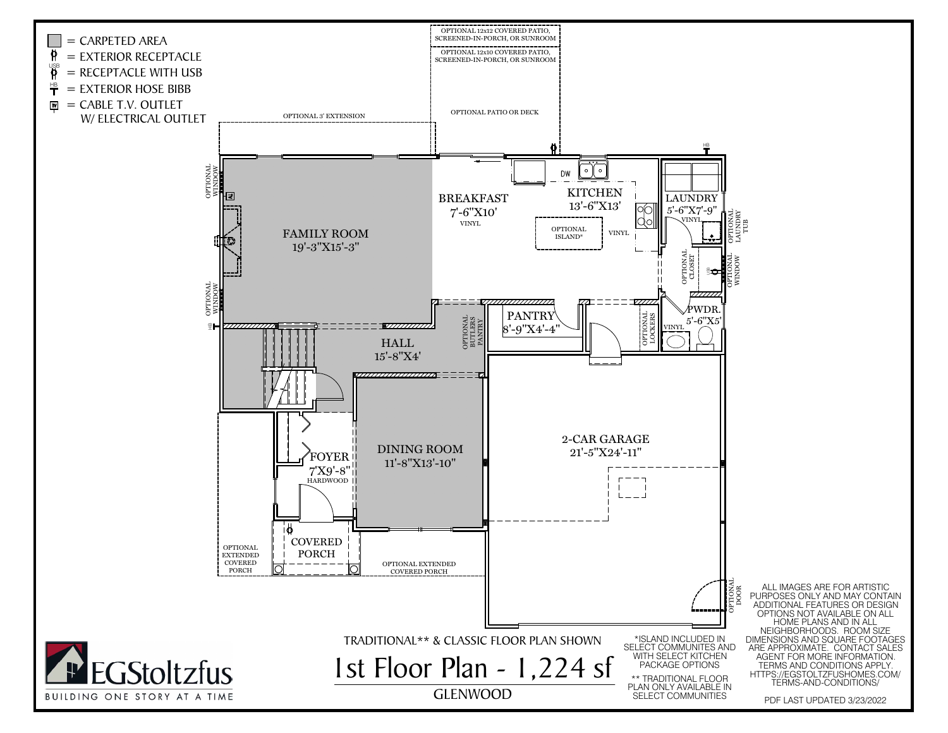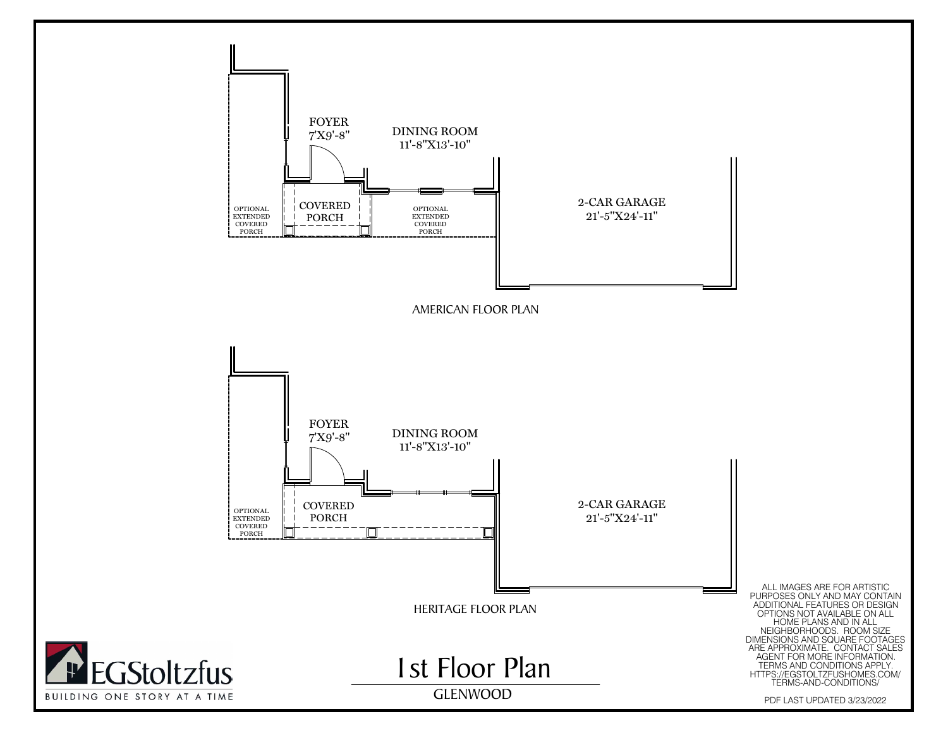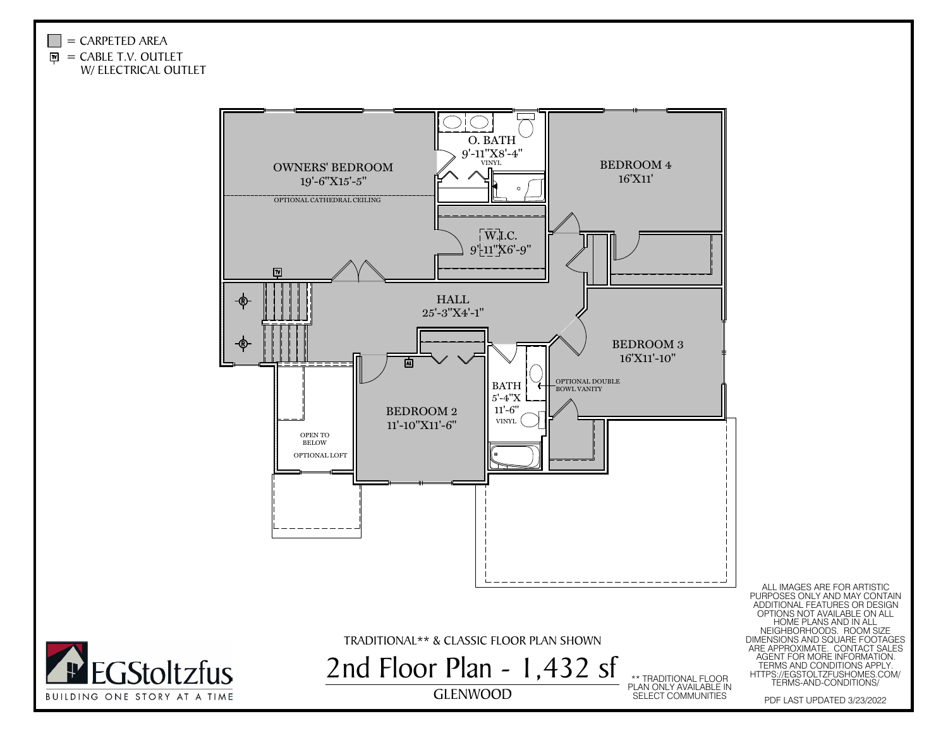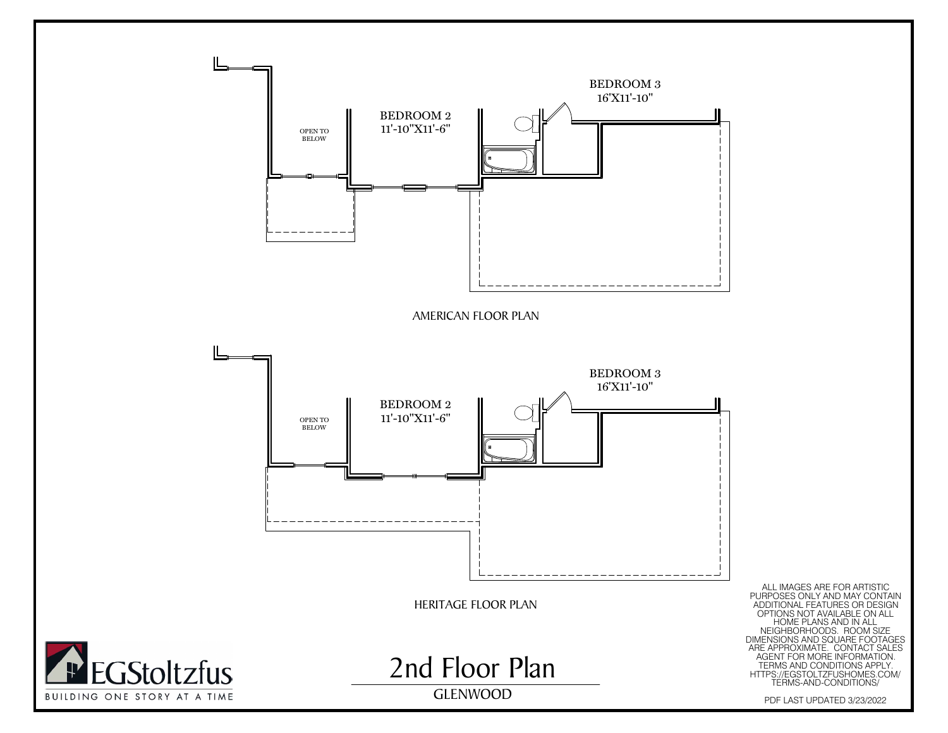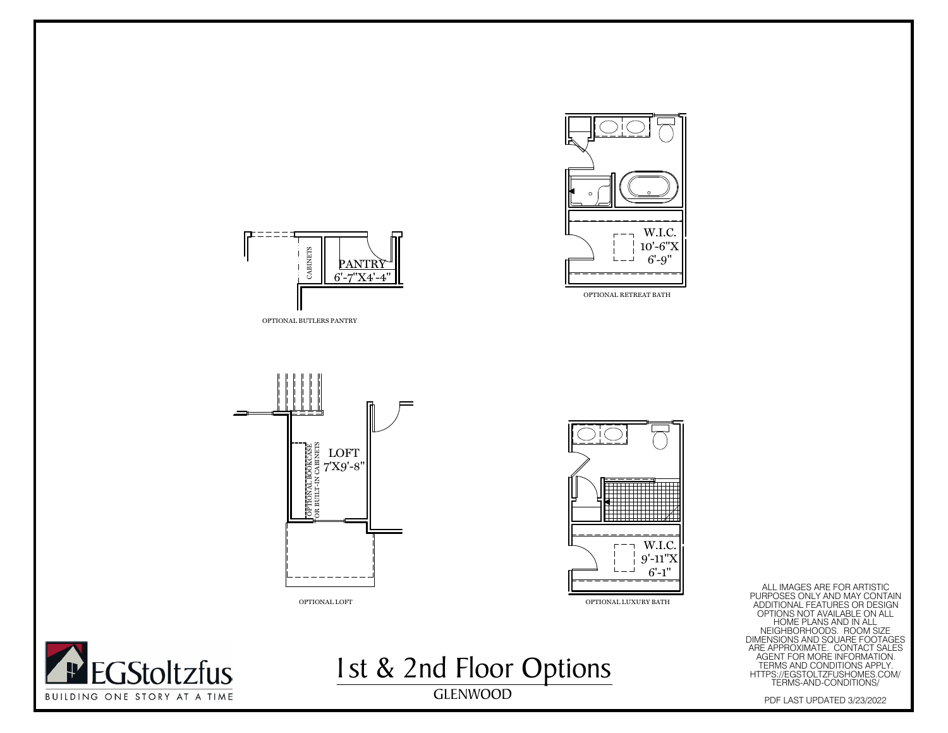





OPTIONAL LOFT



ALL IMAGES ARE FOR ARTISTIC<br>
THE MANUSCES ONLY AND MAY CONTAIN<br>
ADDITIONAL EFATURES OR DESIGN<br>
THE PURPOSES ONLY AVAILABLE ON ALL<br>
HOME PLANS AND MENSIONS AND SQUARE FOOTAGES<br>
ARE AGENT FOR MORE INFORMATION.<br>
HOME PURPOSAN



OPTIONAL LUXURY BATH<br>st & 2 nd Floor Options 1st & 2nd Floor OptionsGLENWOOD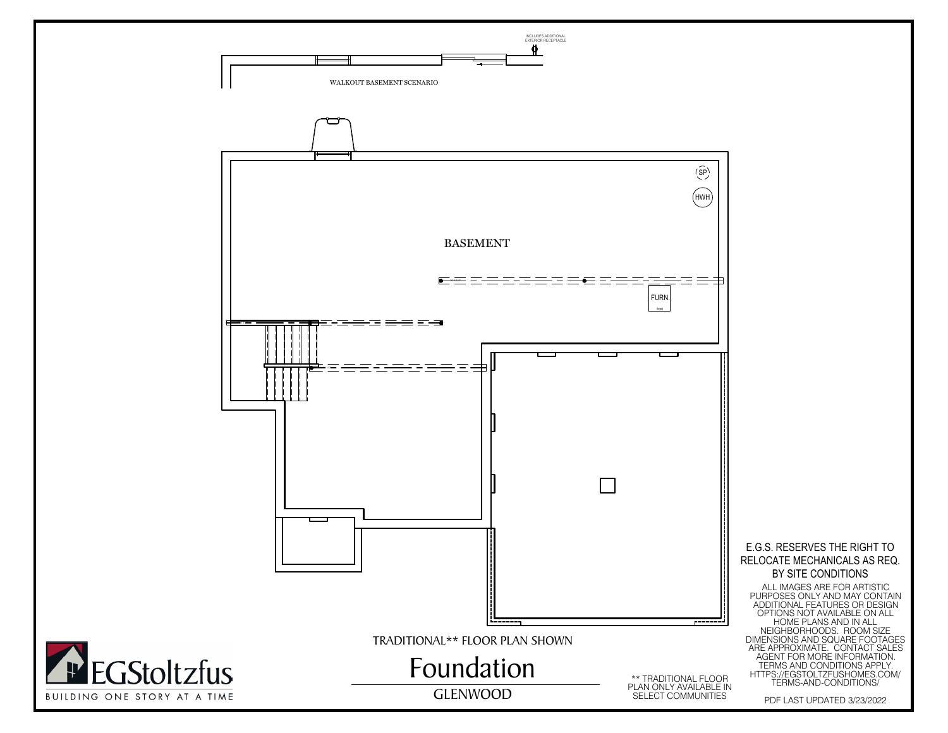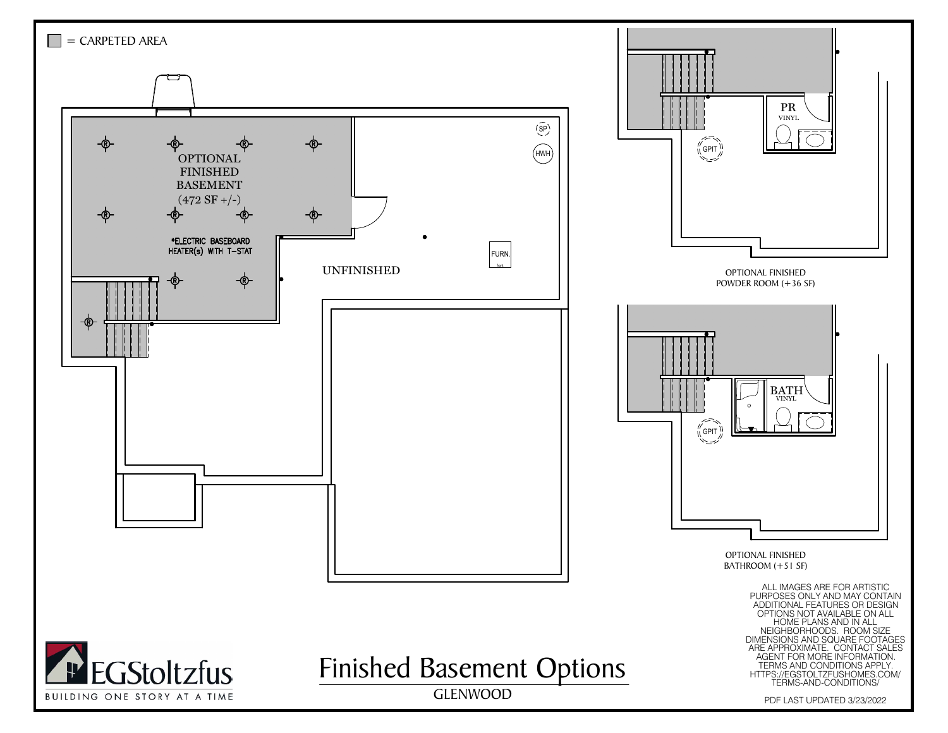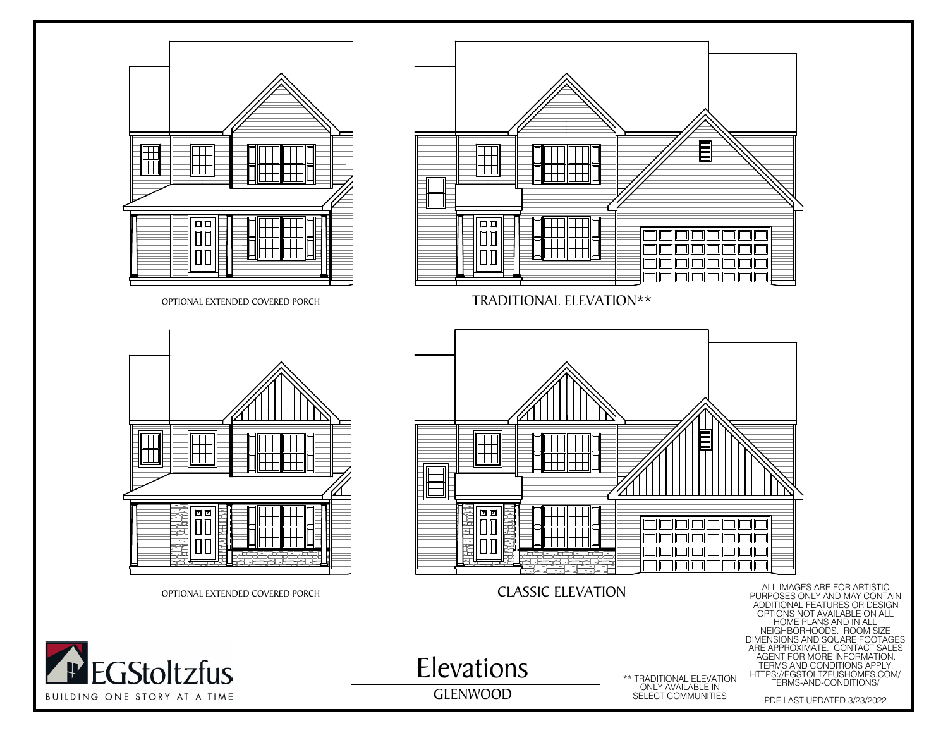